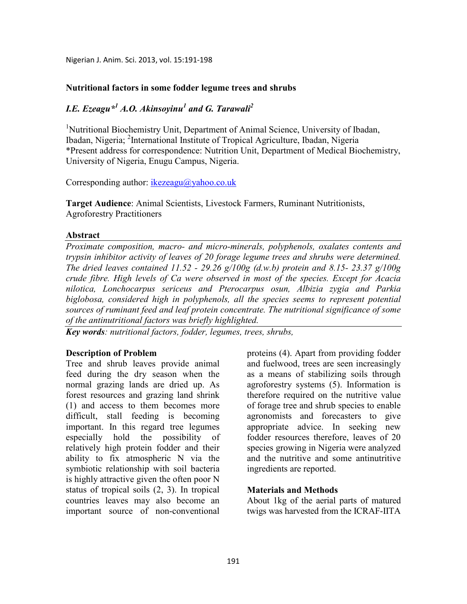Nigerian J. Anim. Sci. 2013, vol. 15:191-198

## Nutritional factors in some fodder legume trees and shrubs

# *I.E. Ezeagu\*<sup>1</sup> A.O. Akinsoyinu<sup>1</sup> and G. Tarawali<sup>2</sup>*

<sup>1</sup>Nutritional Biochemistry Unit, Department of Animal Science, University of Ibadan, Ibadan, Nigeria; <sup>2</sup>International Institute of Tropical Agriculture, Ibadan, Nigeria \*Present address for correspondence: Nutrition Unit, Department of Medical Biochemistry, University of Nigeria, Enugu Campus, Nigeria.

Corresponding author: ikezeagu@yahoo.co.uk

**Target Audience**: Animal Scientists, Livestock Farmers, Ruminant Nutritionists, Agroforestry Practitioners

### **Abstract**

*Proximate composition, macro- and micro-minerals, polyphenols, oxalates contents and trypsin inhibitor activity of leaves of 20 forage legume trees and shrubs were determined. The dried leaves contained 11.52 - 29.26 g/100g (d.w.b) protein and 8.15- 23.37 g/100g crude fibre. High levels of Ca were observed in most of the species. Except for Acacia nilotica, Lonchocarpus sericeus and Pterocarpus osun, Albizia zygia and Parkia biglobosa, considered high in polyphenols, all the species seems to represent potential sources of ruminant feed and leaf protein concentrate. The nutritional significance of some of the antinutritional factors was briefly highlighted.*

*Key words: nutritional factors, fodder, legumes, trees, shrubs,* 

## **Description of Problem**

Tree and shrub leaves provide animal feed during the dry season when the normal grazing lands are dried up. As forest resources and grazing land shrink (1) and access to them becomes more difficult, stall feeding is becoming important. In this regard tree legumes especially hold the possibility of relatively high protein fodder and their ability to fix atmospheric N via the symbiotic relationship with soil bacteria is highly attractive given the often poor N status of tropical soils (2, 3). In tropical countries leaves may also become an important source of non-conventional proteins (4). Apart from providing fodder and fuelwood, trees are seen increasingly as a means of stabilizing soils through agroforestry systems (5). Information is therefore required on the nutritive value of forage tree and shrub species to enable agronomists and forecasters to give appropriate advice. In seeking new fodder resources therefore, leaves of 20 species growing in Nigeria were analyzed and the nutritive and some antinutritive ingredients are reported.

## **Materials and Methods**

About 1kg of the aerial parts of matured twigs was harvested from the ICRAF-IITA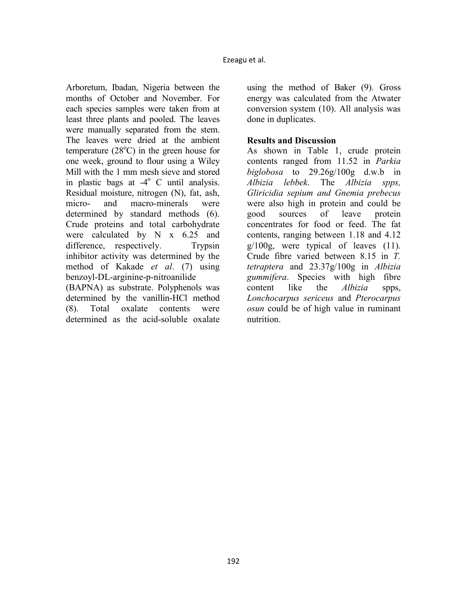Arboretum, Ibadan, Nigeria between the months of October and November. For each species samples were taken from at least three plants and pooled. The leaves were manually separated from the stem. The leaves were dried at the ambient temperature  $(28^{\circ}C)$  in the green house for one week, ground to flour using a Wiley Mill with the 1 mm mesh sieve and stored in plastic bags at  $-4^{\circ}$  C until analysis. Residual moisture, nitrogen (N), fat, ash, micro- and macro-minerals were determined by standard methods (6). Crude proteins and total carbohydrate were calculated by N x 6.25 and difference, respectively. Trypsin inhibitor activity was determined by the method of Kakade *et al*. (7) using benzoyl-DL-arginine-p-nitroanilide

(BAPNA) as substrate. Polyphenols was determined by the vanillin-HCl method (8). Total oxalate contents were determined as the acid-soluble oxalate

using the method of Baker (9). Gross energy was calculated from the Atwater conversion system (10). All analysis was done in duplicates.

# **Results and Discussion**

As shown in Table 1, crude protein contents ranged from 11.52 in *Parkia biglobosa* to 29.26g/100g d.w.b in *Albizia lebbek*. The *Albizia spps, Gliricidia sepium and Gnemia prebecus* were also high in protein and could be good sources of leave protein concentrates for food or feed. The fat contents, ranging between 1.18 and 4.12  $g/100g$ , were typical of leaves  $(11)$ . Crude fibre varied between 8.15 in *T. tetraptera* and 23.37g/100g in *Albizia gummifera*. Species with high fibre content like the *Albizia* spps, *Lonchocarpus sericeus* and *Pterocarpus osun* could be of high value in ruminant nutrition.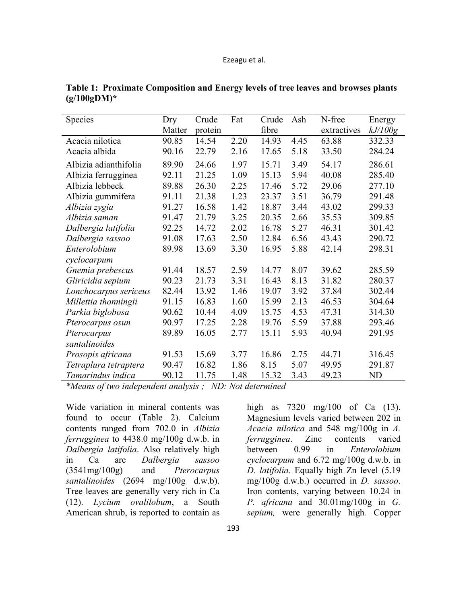| <b>Species</b>        | Dry    | Crude   | Fat  | Crude | Ash  | N-free      | Energy  |
|-----------------------|--------|---------|------|-------|------|-------------|---------|
|                       | Matter | protein |      | fibre |      | extractives | kJ/100g |
| Acacia nilotica       | 90.85  | 14.54   | 2.20 | 14.93 | 4.45 | 63.88       | 332.33  |
| Acacia albida         | 90.16  | 22.79   | 2.16 | 17.65 | 5.18 | 33.50       | 284.24  |
| Albizia adianthifolia | 89.90  | 24.66   | 1.97 | 15.71 | 3.49 | 54.17       | 286.61  |
| Albizia ferrugginea   | 92.11  | 21.25   | 1.09 | 15.13 | 5.94 | 40.08       | 285.40  |
| Albizia lebbeck       | 89.88  | 26.30   | 2.25 | 17.46 | 5.72 | 29.06       | 277.10  |
| Albizia gummifera     | 91.11  | 21.38   | 1.23 | 23.37 | 3.51 | 36.79       | 291.48  |
| Albizia zygia         | 91.27  | 16.58   | 1.42 | 18.87 | 3.44 | 43.02       | 299.33  |
| Albizia saman         | 91.47  | 21.79   | 3.25 | 20.35 | 2.66 | 35.53       | 309.85  |
| Dalbergia latifolia   | 92.25  | 14.72   | 2.02 | 16.78 | 5.27 | 46.31       | 301.42  |
| Dalbergia sassoo      | 91.08  | 17.63   | 2.50 | 12.84 | 6.56 | 43.43       | 290.72  |
| Enterolobium          | 89.98  | 13.69   | 3.30 | 16.95 | 5.88 | 42.14       | 298.31  |
| cyclocarpum           |        |         |      |       |      |             |         |
| Gnemia prebescus      | 91.44  | 18.57   | 2.59 | 14.77 | 8.07 | 39.62       | 285.59  |
| Gliricidia sepium     | 90.23  | 21.73   | 3.31 | 16.43 | 8.13 | 31.82       | 280.37  |
| Lonchocarpus sericeus | 82.44  | 13.92   | 1.46 | 19.07 | 3.92 | 37.84       | 302.44  |
| Millettia thonningii  | 91.15  | 16.83   | 1.60 | 15.99 | 2.13 | 46.53       | 304.64  |
| Parkia biglobosa      | 90.62  | 10.44   | 4.09 | 15.75 | 4.53 | 47.31       | 314.30  |
| Pterocarpus osun      | 90.97  | 17.25   | 2.28 | 19.76 | 5.59 | 37.88       | 293.46  |
| Pterocarpus           | 89.89  | 16.05   | 2.77 | 15.11 | 5.93 | 40.94       | 291.95  |
| santalinoides         |        |         |      |       |      |             |         |
| Prosopis africana     | 91.53  | 15.69   | 3.77 | 16.86 | 2.75 | 44.71       | 316.45  |
| Tetraplura tetraptera | 90.47  | 16.82   | 1.86 | 8.15  | 5.07 | 49.95       | 291.87  |
| Tamarindus indica     | 90.12  | 11.75   | 1.48 | 15.32 | 3.43 | 49.23       | ND      |

**Table 1: Proximate Composition and Energy levels of tree leaves and browses plants (g/100gDM)\*** 

*\*Means of two independent analysis ; ND: Not determined* 

Wide variation in mineral contents was found to occur (Table 2). Calcium contents ranged from 702.0 in *Albizia ferrugginea* to 4438.0 mg/100g d.w.b. in *Dalbergia latifolia*. Also relatively high in Ca are *Dalbergia sassoo* (3541mg/100g) and *Pterocarpus santalinoides* (2694 mg/100g d.w.b). Tree leaves are generally very rich in Ca (12). *Lycium ovalilobum*, a South American shrub, is reported to contain as

high as 7320 mg/100 of Ca (13). Magnesium levels varied between 202 in *Acacia nilotica* and 548 mg/100g in *A. ferrugginea*. Zinc contents varied between 0.99 in *Enterolobium cyclocarpum* and 6.72 mg/100g d.w.b. in *D. latifolia*. Equally high Zn level (5.19 mg/100g d.w.b.) occurred in *D. sassoo*. Iron contents, varying between 10.24 in *P. africana* and 30.01mg/100g in *G. sepium,* were generally high*.* Copper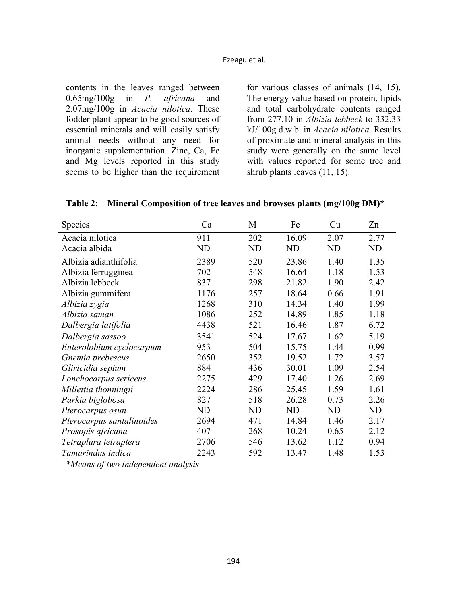contents in the leaves ranged between 0.65mg/100g in *P. africana* and 2.07mg/100g in *Acacia nilotica*. These fodder plant appear to be good sources of essential minerals and will easily satisfy animal needs without any need for inorganic supplementation. Zinc, Ca, Fe and Mg levels reported in this study seems to be higher than the requirement for various classes of animals (14, 15). The energy value based on protein, lipids and total carbohydrate contents ranged from 277.10 in *Albizia lebbeck* to 332.33 kJ/100g d.w.b. in *Acacia nilotica*. Results of proximate and mineral analysis in this study were generally on the same level with values reported for some tree and shrub plants leaves (11, 15).

**Table 2: Mineral Composition of tree leaves and browses plants (mg/100g DM)\*** 

| Species                   | Ca   | M              | Fe        | Cu        | Zn   |
|---------------------------|------|----------------|-----------|-----------|------|
| Acacia nilotica           | 911  | 202            | 16.09     | 2.07      | 2.77 |
| Acacia albida             | ND   | <b>ND</b>      | <b>ND</b> | <b>ND</b> | ND   |
| Albizia adianthifolia     | 2389 | 520            | 23.86     | 1.40      | 1.35 |
| Albizia ferrugginea       | 702  | 548            | 16.64     | 1.18      | 1.53 |
| Albizia lebbeck           | 837  | 298            | 21.82     | 1.90      | 2.42 |
| Albizia gummifera         | 1176 | 257            | 18.64     | 0.66      | 1.91 |
| Albizia zygia             | 1268 | 310            | 14.34     | 1.40      | 1.99 |
| Albizia saman             | 1086 | 252            | 14.89     | 1.85      | 1.18 |
| Dalbergia latifolia       | 4438 | 521            | 16.46     | 1.87      | 6.72 |
| Dalbergia sassoo          | 3541 | 524            | 17.67     | 1.62      | 5.19 |
| Enterolobium cyclocarpum  | 953  | 504            | 15.75     | 1.44      | 0.99 |
| Gnemia prebescus          | 2650 | 352            | 19.52     | 1.72      | 3.57 |
| Gliricidia sepium         | 884  | 436            | 30.01     | 1.09      | 2.54 |
| Lonchocarpus sericeus     | 2275 | 429            | 17.40     | 1.26      | 2.69 |
| Millettia thonningii      | 2224 | 286            | 25.45     | 1.59      | 1.61 |
| Parkia biglobosa          | 827  | 518            | 26.28     | 0.73      | 2.26 |
| Pterocarpus osun          | ND   | N <sub>D</sub> | ND        | <b>ND</b> | ND   |
| Pterocarpus santalinoides | 2694 | 471            | 14.84     | 1.46      | 2.17 |
| Prosopis africana         | 407  | 268            | 10.24     | 0.65      | 2.12 |
| Tetraplura tetraptera     | 2706 | 546            | 13.62     | 1.12      | 0.94 |
| Tamarindus indica         | 2243 | 592            | 13.47     | 1.48      | 1.53 |

*\*Means of two independent analysis*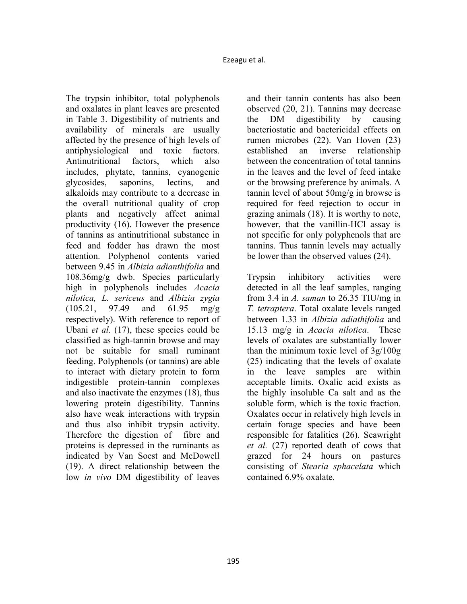The trypsin inhibitor, total polyphenols and oxalates in plant leaves are presented in Table 3. Digestibility of nutrients and availability of minerals are usually affected by the presence of high levels of antiphysiological and toxic factors. Antinutritional factors, which also includes, phytate, tannins, cyanogenic glycosides, saponins, lectins, and alkaloids may contribute to a decrease in the overall nutritional quality of crop plants and negatively affect animal productivity (16). However the presence of tannins as antinutritional substance in feed and fodder has drawn the most attention. Polyphenol contents varied between 9.45 in *Albizia adianthifolia* and 108.36mg/g dwb. Species particularly high in polyphenols includes *Acacia nilotica, L. sericeus* and *Albizia zygia* (105.21, 97.49 and 61.95 mg/g respectively). With reference to report of Ubani *et al.* (17), these species could be classified as high-tannin browse and may not be suitable for small ruminant feeding. Polyphenols (or tannins) are able to interact with dietary protein to form indigestible protein-tannin complexes and also inactivate the enzymes (18), thus lowering protein digestibility. Tannins also have weak interactions with trypsin and thus also inhibit trypsin activity. Therefore the digestion of fibre and proteins is depressed in the ruminants as indicated by Van Soest and McDowell (19). A direct relationship between the low *in vivo* DM digestibility of leaves

and their tannin contents has also been observed (20, 21). Tannins may decrease the DM digestibility by causing bacteriostatic and bactericidal effects on rumen microbes (22). Van Hoven (23) established an inverse relationship between the concentration of total tannins in the leaves and the level of feed intake or the browsing preference by animals. A tannin level of about 50mg/g in browse is required for feed rejection to occur in grazing animals (18). It is worthy to note, however, that the vanillin-HCl assay is not specific for only polyphenols that are tannins. Thus tannin levels may actually be lower than the observed values (24).

Trypsin inhibitory activities were detected in all the leaf samples, ranging from 3.4 in *A. saman* to 26.35 TIU/mg in *T. tetraptera*. Total oxalate levels ranged between 1.33 in *Albizia adiathifolia* and 15.13 mg/g in *Acacia nilotica*. These levels of oxalates are substantially lower than the minimum toxic level of 3g/100g (25) indicating that the levels of oxalate in the leave samples are within acceptable limits. Oxalic acid exists as the highly insoluble Ca salt and as the soluble form, which is the toxic fraction. Oxalates occur in relatively high levels in certain forage species and have been responsible for fatalities (26). Seawright *et al.* (27) reported death of cows that grazed for 24 hours on pastures consisting of *Stearia sphacelata* which contained 6.9% oxalate.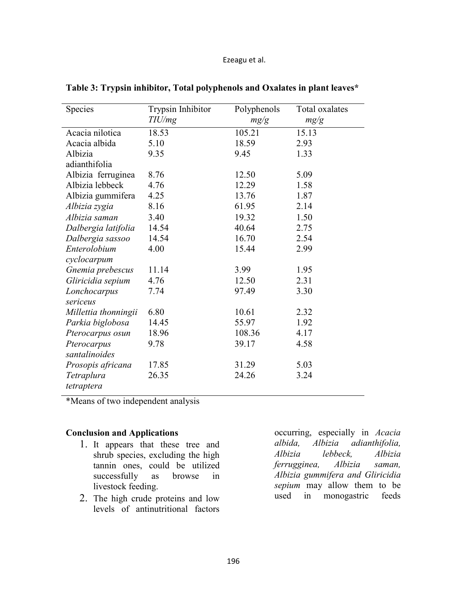| Species              | Trypsin Inhibitor | Polyphenols | Total oxalates |
|----------------------|-------------------|-------------|----------------|
|                      | TIU/mg            | mg/g        | mg/g           |
| Acacia nilotica      | 18.53             | 105.21      | 15.13          |
| Acacia albida        | 5.10              | 18.59       | 2.93           |
| Albizia              | 9.35              | 9.45        | 1.33           |
| adianthifolia        |                   |             |                |
| Albizia ferruginea   | 8.76              | 12.50       | 5.09           |
| Albizia lebbeck      | 4.76              | 12.29       | 1.58           |
| Albizia gummifera    | 4.25              | 13.76       | 1.87           |
| Albizia zygia        | 8.16              | 61.95       | 2.14           |
| Albizia saman        | 3.40              | 19.32       | 1.50           |
| Dalbergia latifolia  | 14.54             | 40.64       | 2.75           |
| Dalbergia sassoo     | 14.54             | 16.70       | 2.54           |
| Enterolobium         | 4.00              | 15.44       | 2.99           |
| cyclocarpum          |                   |             |                |
| Gnemia prebescus     | 11.14             | 3.99        | 1.95           |
| Gliricidia sepium    | 4.76              | 12.50       | 2.31           |
| Lonchocarpus         | 7.74              | 97.49       | 3.30           |
| sericeus             |                   |             |                |
| Millettia thonningii | 6.80              | 10.61       | 2.32           |
| Parkia biglobosa     | 14.45             | 55.97       | 1.92           |
| Pterocarpus osun     | 18.96             | 108.36      | 4.17           |
| Pterocarpus          | 9.78              | 39.17       | 4.58           |
| santalinoides        |                   |             |                |
| Prosopis africana    | 17.85             | 31.29       | 5.03           |
| Tetraplura           | 26.35             | 24.26       | 3.24           |
| tetraptera           |                   |             |                |

**Table 3: Trypsin inhibitor, Total polyphenols and Oxalates in plant leaves\*** 

\*Means of two independent analysis

## **Conclusion and Applications**

- 1. It appears that these tree and shrub species, excluding the high tannin ones, could be utilized successfully as browse in livestock feeding.
- 2. The high crude proteins and low levels of antinutritional factors

occurring, especially in *Acacia albida, Albizia adianthifolia, Albizia lebbeck, Albizia ferrugginea, Albizia saman, Albizia gummifera and Gliricidia sepium* may allow them to be used in monogastric feeds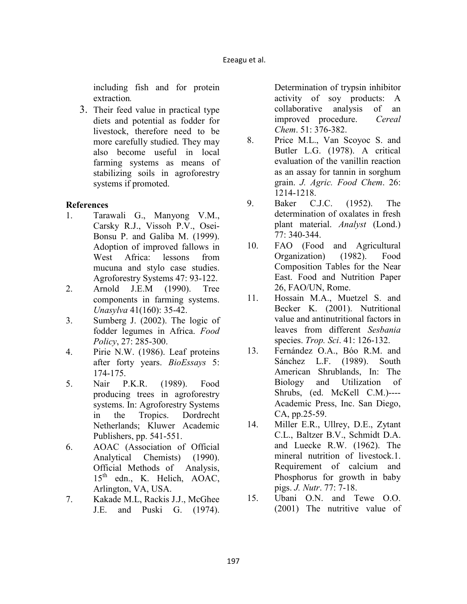including fish and for protein extraction*.*

3. Their feed value in practical type diets and potential as fodder for livestock, therefore need to be more carefully studied. They may also become useful in local farming systems as means of stabilizing soils in agroforestry systems if promoted.

## **References**

- 1. Tarawali G., Manyong V.M., Carsky R.J., Vissoh P.V., Osei-Bonsu P. and Galiba M. (1999). Adoption of improved fallows in West Africa: lessons from mucuna and stylo case studies. Agroforestry Systems 47: 93-122.
- 2. Arnold J.E.M (1990). Tree components in farming systems. *Unasylva* 41(160): 35-42.
- 3. Sumberg J. (2002). The logic of fodder legumes in Africa. *Food Policy*, 27: 285-300.
- 4. Pirie N.W. (1986). Leaf proteins after forty years. *BioEssays* 5: 174-175.
- 5. Nair P.K.R. (1989). Food producing trees in agroforestry systems. In: Agroforestry Systems in the Tropics. Dordrecht Netherlands; Kluwer Academic Publishers, pp. 541-551.
- 6. AOAC (Association of Official Analytical Chemists) (1990). Official Methods of Analysis,  $15<sup>th</sup>$  edn., K. Helich, AOAC, Arlington, VA, USA.
- 7. Kakade M.L, Rackis J.J., McGhee J.E. and Puski G. (1974).

Determination of trypsin inhibitor activity of soy products: A collaborative analysis of an improved procedure. *Cereal Chem*. 51: 376-382.

- 8. Price M.L., Van Scoyoc S. and Butler L.G. (1978). A critical evaluation of the vanillin reaction as an assay for tannin in sorghum grain. *J. Agric. Food Chem*. 26: 1214-1218.
- 9. Baker C.J.C. (1952). The determination of oxalates in fresh plant material. *Analyst* (Lond.) 77: 340-344.
- 10. FAO (Food and Agricultural Organization) (1982). Food Composition Tables for the Near East. Food and Nutrition Paper 26, FAO/UN, Rome.
- 11. Hossain M.A., Muetzel S. and Becker K. (2001). Nutritional value and antinutritional factors in leaves from different *Sesbania*  species. *Trop. Sci*. 41: 126-132.
- 13. Fernández O.A., Bóo R.M. and Sánchez L.F. (1989). South American Shrublands, In: The Biology and Utilization of Shrubs, (ed. McKell C.M.)---- Academic Press, Inc. San Diego, CA, pp.25-59.
- 14. Miller E.R., Ullrey, D.E., Zytant C.L., Baltzer B.V., Schmidt D.A. and Luecke R.W. (1962). The mineral nutrition of livestock.1. Requirement of calcium and Phosphorus for growth in baby pigs. *J. utr*. 77: 7-18.
- 15. Ubani O.N. and Tewe O.O. (2001) The nutritive value of